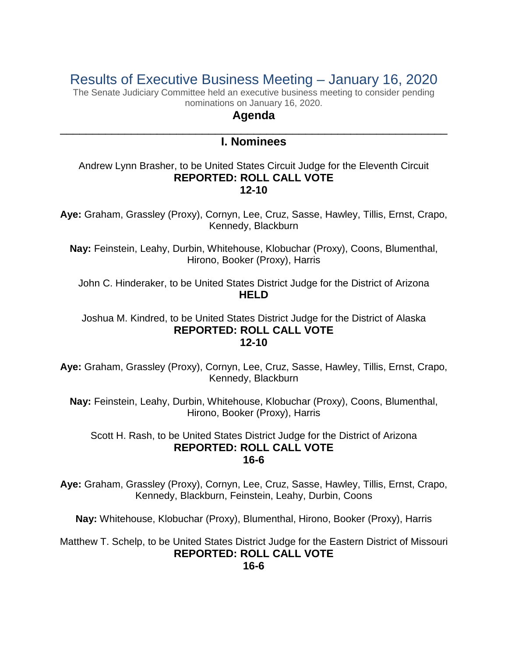# Results of Executive Business Meeting – January 16, 2020

The Senate Judiciary Committee held an executive business meeting to consider pending nominations on January 16, 2020.

# **Agenda**

# \_\_\_\_\_\_\_\_\_\_\_\_\_\_\_\_\_\_\_\_\_\_\_\_\_\_\_\_\_\_\_\_\_\_\_\_\_\_\_\_\_\_\_\_\_\_\_\_\_\_\_\_\_\_\_\_\_\_\_\_ **I. Nominees**

## Andrew Lynn Brasher, to be United States Circuit Judge for the Eleventh Circuit **REPORTED: ROLL CALL VOTE 12-10**

**Aye:** Graham, Grassley (Proxy), Cornyn, Lee, Cruz, Sasse, Hawley, Tillis, Ernst, Crapo, Kennedy, Blackburn

**Nay:** Feinstein, Leahy, Durbin, Whitehouse, Klobuchar (Proxy), Coons, Blumenthal, Hirono, Booker (Proxy), Harris

John C. Hinderaker, to be United States District Judge for the District of Arizona **HELD**

#### Joshua M. Kindred, to be United States District Judge for the District of Alaska **REPORTED: ROLL CALL VOTE 12-10**

**Aye:** Graham, Grassley (Proxy), Cornyn, Lee, Cruz, Sasse, Hawley, Tillis, Ernst, Crapo, Kennedy, Blackburn

**Nay:** Feinstein, Leahy, Durbin, Whitehouse, Klobuchar (Proxy), Coons, Blumenthal, Hirono, Booker (Proxy), Harris

# Scott H. Rash, to be United States District Judge for the District of Arizona **REPORTED: ROLL CALL VOTE 16-6**

**Aye:** Graham, Grassley (Proxy), Cornyn, Lee, Cruz, Sasse, Hawley, Tillis, Ernst, Crapo, Kennedy, Blackburn, Feinstein, Leahy, Durbin, Coons

**Nay:** Whitehouse, Klobuchar (Proxy), Blumenthal, Hirono, Booker (Proxy), Harris

Matthew T. Schelp, to be United States District Judge for the Eastern District of Missouri **REPORTED: ROLL CALL VOTE 16-6**